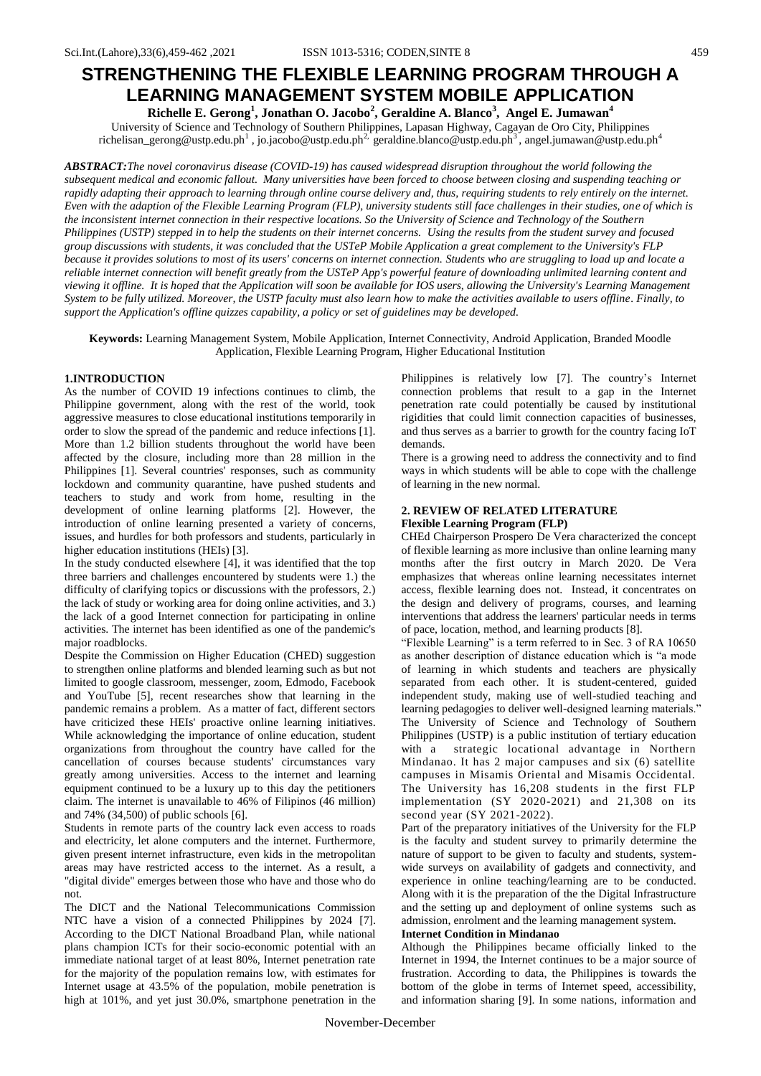# **STRENGTHENING THE FLEXIBLE LEARNING PROGRAM THROUGH A LEARNING MANAGEMENT SYSTEM MOBILE APPLICATION**

**Richelle E. Gerong<sup>1</sup> , Jonathan O. Jacobo<sup>2</sup> , Geraldine A. Blanco<sup>3</sup> , Angel E. Jumawan<sup>4</sup>** University of Science and Technology of Southern Philippines, Lapasan Highway, Cagayan de Oro City, Philippines richelisan\_gerong@ustp.edu.ph<sup>1</sup>, jo.jacobo@ustp.edu.ph<sup>2,</sup> geraldine.blanco@ustp.edu.ph<sup>3</sup>, angel.jumawan@ustp.edu.ph<sup>4</sup>

*ABSTRACT:The novel coronavirus disease (COVID-19) has caused widespread disruption throughout the world following the subsequent medical and economic fallout. Many universities have been forced to choose between closing and suspending teaching or rapidly adapting their approach to learning through online course delivery and, thus, requiring students to rely entirely on the internet. Even with the adaption of the Flexible Learning Program (FLP), university students still face challenges in their studies, one of which is the inconsistent internet connection in their respective locations. So the University of Science and Technology of the Southern Philippines (USTP) stepped in to help the students on their internet concerns. Using the results from the student survey and focused group discussions with students, it was concluded that the USTeP Mobile Application a great complement to the University's FLP because it provides solutions to most of its users' concerns on internet connection. Students who are struggling to load up and locate a reliable internet connection will benefit greatly from the USTeP App's powerful feature of downloading unlimited learning content and viewing it offline. It is hoped that the Application will soon be available for IOS users, allowing the University's Learning Management System to be fully utilized. Moreover, the USTP faculty must also learn how to make the activities available to users offline. Finally, to support the Application's offline quizzes capability, a policy or set of guidelines may be developed.*

**Keywords:** Learning Management System, Mobile Application, Internet Connectivity, Android Application, Branded Moodle Application, Flexible Learning Program, Higher Educational Institution

# **1.INTRODUCTION**

As the number of COVID 19 infections continues to climb, the Philippine government, along with the rest of the world, took aggressive measures to close educational institutions temporarily in order to slow the spread of the pandemic and reduce infections [1]. More than 1.2 billion students throughout the world have been affected by the closure, including more than 28 million in the Philippines [1]. Several countries' responses, such as community lockdown and community quarantine, have pushed students and teachers to study and work from home, resulting in the development of online learning platforms [2]. However, the introduction of online learning presented a variety of concerns, issues, and hurdles for both professors and students, particularly in higher education institutions (HEIs) [3].

In the study conducted elsewhere [4], it was identified that the top three barriers and challenges encountered by students were 1.) the difficulty of clarifying topics or discussions with the professors, 2.) the lack of study or working area for doing online activities, and 3.) the lack of a good Internet connection for participating in online activities. The internet has been identified as one of the pandemic's major roadblocks.

Despite the Commission on Higher Education (CHED) suggestion to strengthen online platforms and blended learning such as but not limited to google classroom, messenger, zoom, Edmodo, Facebook and YouTube [5], recent researches show that learning in the pandemic remains a problem. As a matter of fact, different sectors have criticized these HEIs' proactive online learning initiatives. While acknowledging the importance of online education, student organizations from throughout the country have called for the cancellation of courses because students' circumstances vary greatly among universities. Access to the internet and learning equipment continued to be a luxury up to this day the petitioners claim. The internet is unavailable to 46% of Filipinos (46 million) and 74% (34,500) of public schools [6].

Students in remote parts of the country lack even access to roads and electricity, let alone computers and the internet. Furthermore, given present internet infrastructure, even kids in the metropolitan areas may have restricted access to the internet. As a result, a "digital divide" emerges between those who have and those who do not.

The DICT and the National Telecommunications Commission NTC have a vision of a connected Philippines by 2024 [7]. According to the DICT National Broadband Plan, while national plans champion ICTs for their socio-economic potential with an immediate national target of at least 80%, Internet penetration rate for the majority of the population remains low, with estimates for Internet usage at 43.5% of the population, mobile penetration is high at 101%, and yet just 30.0%, smartphone penetration in the Philippines is relatively low [7]. The country's Internet connection problems that result to a gap in the Internet penetration rate could potentially be caused by institutional rigidities that could limit connection capacities of businesses, and thus serves as a barrier to growth for the country facing IoT demands.

There is a growing need to address the connectivity and to find ways in which students will be able to cope with the challenge of learning in the new normal.

## **2. REVIEW OF RELATED LITERATURE Flexible Learning Program (FLP)**

CHEd Chairperson Prospero De Vera characterized the concept of flexible learning as more inclusive than online learning many months after the first outcry in March 2020. De Vera emphasizes that whereas online learning necessitates internet access, flexible learning does not. Instead, it concentrates on the design and delivery of programs, courses, and learning interventions that address the learners' particular needs in terms of pace, location, method, and learning products [8].

"Flexible Learning" is a term referred to in Sec. 3 of RA 10650 as another description of distance education which is "a mode of learning in which students and teachers are physically separated from each other. It is student-centered, guided independent study, making use of well-studied teaching and learning pedagogies to deliver well-designed learning materials." The University of Science and Technology of Southern Philippines (USTP) is a public institution of tertiary education with a strategic locational advantage in Northern Mindanao. It has 2 major campuses and six (6) satellite campuses in Misamis Oriental and Misamis Occidental. The University has 16,208 students in the first FLP implementation (SY 2020-2021) and 21,308 on its second year (SY 2021-2022).

Part of the preparatory initiatives of the University for the FLP is the faculty and student survey to primarily determine the nature of support to be given to faculty and students, systemwide surveys on availability of gadgets and connectivity, and experience in online teaching/learning are to be conducted. Along with it is the preparation of the the Digital Infrastructure and the setting up and deployment of online systems such as admission, enrolment and the learning management system.

## **Internet Condition in Mindanao**

Although the Philippines became officially linked to the Internet in 1994, the Internet continues to be a major source of frustration. According to data, the Philippines is towards the bottom of the globe in terms of Internet speed, accessibility, and information sharing [9]. In some nations, information and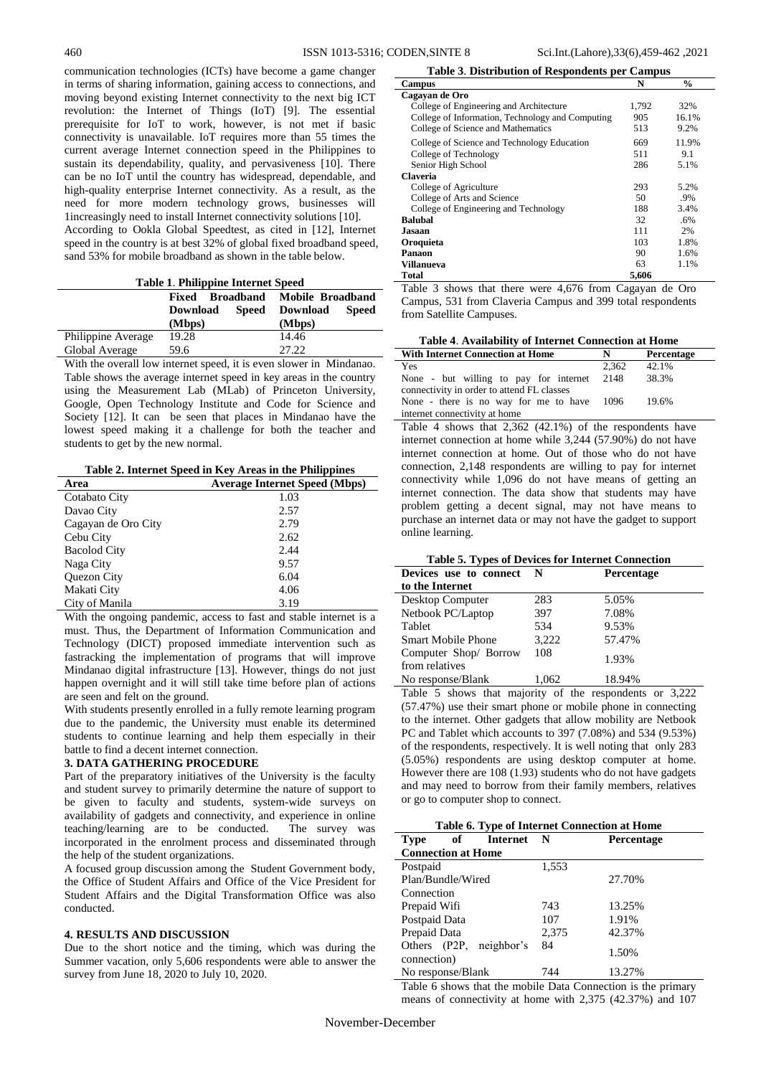communication technologies (ICTs) have become a game changer in terms of sharing information, gaining access to connections, and moving beyond existing Internet connectivity to the next big ICT revolution: the Internet of Things (IoT) [9]. The essential prerequisite for IoT to work, however, is not met if basic connectivity is unavailable. IoT requires more than 55 times the current average Internet connection speed in the Philippines to sustain its dependability, quality, and pervasiveness [10]. There can be no IoT until the country has widespread, dependable, and high-quality enterprise Internet connectivity. As a result, as the need for more modern technology grows, businesses will 1increasingly need to install Internet connectivity solutions [10]. According to Ookla Global Speedtest, as cited in [12], Internet speed in the country is at best 32% of global fixed broadband speed, sand 53% for mobile broadband as shown in the table below.

| <b>Table 1. Philippine Internet Speed</b> |                                     |                                 |  |
|-------------------------------------------|-------------------------------------|---------------------------------|--|
|                                           | Broadband Mobile Broadband<br>Fixed |                                 |  |
|                                           | <b>Speed</b><br><b>Download</b>     | <b>Speed</b><br><b>Download</b> |  |
|                                           | (Mbps)                              | (Mbps)                          |  |
| Philippine Average                        | 19.28                               | 14.46                           |  |
| Global Average                            | 59.6                                | 27.22                           |  |

With the overall low internet speed, it is even slower in Mindanao. Table shows the average internet speed in key areas in the country using the Measurement Lab (MLab) of Princeton University, Google, Open Technology Institute and Code for Science and Society [12]. It can be seen that places in Mindanao have the lowest speed making it a challenge for both the teacher and students to get by the new normal.

**Table 2. Internet Speed in Key Areas in the Philippines**

| Area                | <b>Average Internet Speed (Mbps)</b> |
|---------------------|--------------------------------------|
| Cotabato City       | 1.03                                 |
| Davao City          | 2.57                                 |
| Cagayan de Oro City | 2.79                                 |
| Cebu City           | 2.62                                 |
| <b>Bacolod City</b> | 2.44                                 |
| Naga City           | 9.57                                 |
| Quezon City         | 6.04                                 |
| Makati City         | 4.06                                 |
| City of Manila      | 3.19                                 |

With the ongoing pandemic, access to fast and stable internet is a must. Thus, the Department of Information Communication and Technology (DICT) proposed immediate intervention such as fastracking the implementation of programs that will improve Mindanao digital infrastructure [13]. However, things do not just happen overnight and it will still take time before plan of actions are seen and felt on the ground.

With students presently enrolled in a fully remote learning program due to the pandemic, the University must enable its determined students to continue learning and help them especially in their battle to find a decent internet connection.

## **3. DATA GATHERING PROCEDURE**

Part of the preparatory initiatives of the University is the faculty and student survey to primarily determine the nature of support to be given to faculty and students, system-wide surveys on availability of gadgets and connectivity, and experience in online teaching/learning are to be conducted. The survey was incorporated in the enrolment process and disseminated through the help of the student organizations.

A focused group discussion among the Student Government body, the Office of Student Affairs and Office of the Vice President for Student Affairs and the Digital Transformation Office was also conducted.

## **4. RESULTS AND DISCUSSION**

Due to the short notice and the timing, which was during the Summer vacation, only 5,606 respondents were able to answer the survey from June 18, 2020 to July 10, 2020.

#### **Table 3**. **Distribution of Respondents per Campus**

| Campus                                           | N     | $\frac{0}{0}$ |
|--------------------------------------------------|-------|---------------|
| Cagayan de Oro                                   |       |               |
| College of Engineering and Architecture          | 1.792 | 32%           |
| College of Information, Technology and Computing | 905   | 16.1%         |
| College of Science and Mathematics               | 513   | 9.2%          |
| College of Science and Technology Education      | 669   | 11.9%         |
| College of Technology                            | 511   | 9.1           |
| Senior High School                               | 286   | 5.1%          |
| <b>Claveria</b>                                  |       |               |
| College of Agriculture                           | 293   | 5.2%          |
| College of Arts and Science                      | 50    | .9%           |
| College of Engineering and Technology            | 188   | 3.4%          |
| <b>Balubal</b>                                   | 32    | .6%           |
| Jasaan                                           | 111   | 2%            |
| Oroquieta                                        | 103   | 1.8%          |
| Panaon                                           | 90    | 1.6%          |
| Villanueva                                       | 63    | 1.1%          |
| Total                                            | 5.606 |               |

Table 3 shows that there were 4,676 from Cagayan de Oro Campus, 531 from Claveria Campus and 399 total respondents from Satellite Campuses.

| Table 4. Availability of Internet Connection at Home                                      |       |            |
|-------------------------------------------------------------------------------------------|-------|------------|
| <b>With Internet Connection at Home</b>                                                   |       | Percentage |
| Yes                                                                                       | 2.362 | 42.1%      |
| None - but willing to pay for internet 2148<br>connectivity in order to attend FL classes |       | 38.3%      |
| None - there is no way for me to have 1096<br>internet connectivity at home               |       | 19.6%      |

Table 4 shows that 2,362 (42.1%) of the respondents have internet connection at home while 3,244 (57.90%) do not have internet connection at home. Out of those who do not have connection, 2,148 respondents are willing to pay for internet connectivity while 1,096 do not have means of getting an internet connection. The data show that students may have problem getting a decent signal, may not have means to purchase an internet data or may not have the gadget to support online learning.

|  |  | Table 5. Types of Devices for Internet Connection |
|--|--|---------------------------------------------------|
|  |  |                                                   |

| Devices use to connect                  | N     | Percentage |
|-----------------------------------------|-------|------------|
| to the Internet                         |       |            |
| Desktop Computer                        | 283   | 5.05%      |
| Netbook PC/Laptop                       | 397   | 7.08%      |
| Tablet                                  | 534   | 9.53%      |
| <b>Smart Mobile Phone</b>               | 3,222 | 57.47%     |
| Computer Shop/ Borrow<br>from relatives | 108   | 1.93%      |
| No response/Blank                       | 1.062 | 18.94%     |

Table 5 shows that majority of the respondents or 3,222 (57.47%) use their smart phone or mobile phone in connecting to the internet. Other gadgets that allow mobility are Netbook PC and Tablet which accounts to 397 (7.08%) and 534 (9.53%) of the respondents, respectively. It is well noting that only 283 (5.05%) respondents are using desktop computer at home. However there are 108 (1.93) students who do not have gadgets and may need to borrow from their family members, relatives or go to computer shop to connect.

| Table 6. Type of Internet Connection at Home |          |       |            |
|----------------------------------------------|----------|-------|------------|
| of<br><b>Type</b>                            | Internet | N     | Percentage |
| <b>Connection at Home</b>                    |          |       |            |
| Postpaid                                     |          | 1,553 |            |
| Plan/Bundle/Wired                            |          |       | 27.70%     |
| Connection                                   |          |       |            |
| Prepaid Wifi                                 |          | 743   | 13.25%     |
| Postpaid Data                                |          | 107   | 1.91%      |
| Prepaid Data                                 |          | 2,375 | 42.37%     |
| Others (P2P, neighbor's<br>connection)       |          | 84    | 1.50%      |
| No response/Blank                            |          | 744   | 13.27%     |

Table 6 shows that the mobile Data Connection is the primary means of connectivity at home with 2,375 (42.37%) and 107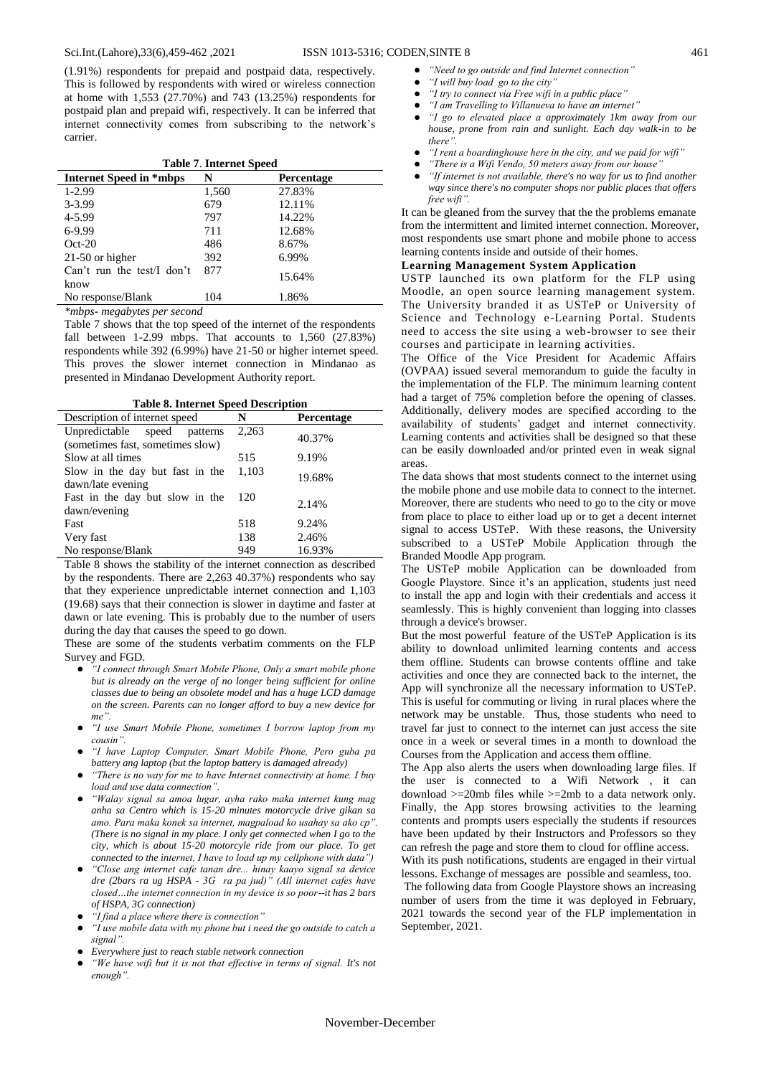(1.91%) respondents for prepaid and postpaid data, respectively. This is followed by respondents with wired or wireless connection at home with 1,553 (27.70%) and 743 (13.25%) respondents for postpaid plan and prepaid wifi, respectively. It can be inferred that internet connectivity comes from subscribing to the network's carrier.

| <b>Table 7. Internet Speed</b>     |       |                   |  |
|------------------------------------|-------|-------------------|--|
| Internet Speed in *mbps            | N     | <b>Percentage</b> |  |
| $1-2.99$                           | 1,560 | 27.83%            |  |
| 3-3.99                             | 679   | 12.11%            |  |
| 4-5.99                             | 797   | 14.22%            |  |
| 6-9.99                             | 711   | 12.68%            |  |
| $Oct-20$                           | 486   | 8.67%             |  |
| $21-50$ or higher                  | 392   | 6.99%             |  |
| Can't run the test/I don't<br>know | 877   | 15.64%            |  |
| No response/Blank                  | 104   | 1.86%             |  |

*\*mbps- megabytes per second*

Table 7 shows that the top speed of the internet of the respondents fall between 1-2.99 mbps. That accounts to  $1,560$  (27.83%) respondents while 392 (6.99%) have 21-50 or higher internet speed. This proves the slower internet connection in Mindanao as presented in Mindanao Development Authority report.

|  |  |  | <b>Table 8. Internet Speed Description</b> |
|--|--|--|--------------------------------------------|
|--|--|--|--------------------------------------------|

| Table 8. Internet Speed Description |       |            |
|-------------------------------------|-------|------------|
| Description of internet speed       | N     | Percentage |
| Unpredictable speed<br>patterns     | 2,263 | 40.37%     |
| (sometimes fast, sometimes slow)    |       |            |
| Slow at all times                   | 515   | 9.19%      |
| Slow in the day but fast in the     | 1,103 | 19.68%     |
| dawn/late evening                   |       |            |
| Fast in the day but slow in the     | 120   | 2.14%      |
| dawn/evening                        |       |            |
| Fast                                | 518   | 9.24%      |
| Very fast                           | 138   | 2.46%      |
| No response/Blank                   | 949   | 16.93%     |

Table 8 shows the stability of the internet connection as described by the respondents. There are 2,263 40.37%) respondents who say that they experience unpredictable internet connection and 1,103 (19.68) says that their connection is slower in daytime and faster at dawn or late evening. This is probably due to the number of users during the day that causes the speed to go down.

These are some of the students verbatim comments on the FLP Survey and FGD.

- *"I connect through Smart Mobile Phone, Only a smart mobile phone but is already on the verge of no longer being sufficient for online classes due to being an obsolete model and has a huge LCD damage on the screen. Parents can no longer afford to buy a new device for me".*
- *"I use Smart Mobile Phone, sometimes I borrow laptop from my cousin".*
- *"I have Laptop Computer, Smart Mobile Phone, Pero guba pa battery ang laptop (but the laptop battery is damaged already)*
- *"There is no way for me to have Internet connectivity at home. I buy load and use data connection".*
- *"Walay signal sa amoa lugar, ayha rako maka internet kung mag anha sa Centro which is 15-20 minutes motorcycle drive gikan sa amo. Para maka konek sa internet, magpaload ko usahay sa ako cp". (There is no signal in my place. I only get connected when I go to the city, which is about 15-20 motorcyle ride from our place. To get connected to the internet, I have to load up my cellphone with data")*
- *"Close ang internet cafe tanan dre... hinay kaayo signal sa device dre (2bars ra ug HSPA - 3G ra pa jud)" (All internet cafes have closed…the internet connection in my device is so poor--it has 2 bars of HSPA, 3G connection)*
- *"I find a place where there is connection"*
- *"I use mobile data with my phone but i need the go outside to catch a signal".*
- *Everywhere just to reach stable network connection*
- *"We have wifi but it is not that effective in terms of signal. It's not enough".*
- *"Need to go outside and find Internet connection"*
- *"I will buy load go to the city"*
- *"I try to connect via Free wifi in a public place"*
- *"I am Travelling to Villanueva to have an internet"*
- *"I go to elevated place a approximately 1km away from our house, prone from rain and sunlight. Each day walk-in to be there".*
- *"I rent a boardinghouse here in the city, and we paid for wifi"*
- *"There is a Wifi Vendo, 50 meters away from our house"*
- *"If internet is not available, there's no way for us to find another way since there's no computer shops nor public places that offers free wifi".*

It can be gleaned from the survey that the the problems emanate from the intermittent and limited internet connection. Moreover, most respondents use smart phone and mobile phone to access learning contents inside and outside of their homes.

### **Learning Management System Application**

USTP launched its own platform for the FLP using Moodle, an open source learning management system. The University branded it as USTeP or University of Science and Technology e-Learning Portal. Students need to access the site using a web-browser to see their courses and participate in learning activities.

The Office of the Vice President for Academic Affairs (OVPAA) issued several memorandum to guide the faculty in the implementation of the FLP. The minimum learning content had a target of 75% completion before the opening of classes. Additionally, delivery modes are specified according to the availability of students' gadget and internet connectivity. Learning contents and activities shall be designed so that these can be easily downloaded and/or printed even in weak signal areas.

The data shows that most students connect to the internet using the mobile phone and use mobile data to connect to the internet. Moreover, there are students who need to go to the city or move from place to place to either load up or to get a decent internet signal to access USTeP. With these reasons, the University subscribed to a USTeP Mobile Application through the Branded Moodle App program.

The USTeP mobile Application can be downloaded from Google Playstore. Since it's an application, students just need to install the app and login with their credentials and access it seamlessly. This is highly convenient than logging into classes through a device's browser.

But the most powerful feature of the USTeP Application is its ability to download unlimited learning contents and access them offline. Students can browse contents offline and take activities and once they are connected back to the internet, the App will synchronize all the necessary information to USTeP. This is useful for commuting or living in rural places where the network may be unstable. Thus, those students who need to travel far just to connect to the internet can just access the site once in a week or several times in a month to download the Courses from the Application and access them offline.

The App also alerts the users when downloading large files. If the user is connected to a Wifi Network , it can download >=20mb files while >=2mb to a data network only. Finally, the App stores browsing activities to the learning contents and prompts users especially the students if resources have been updated by their Instructors and Professors so they can refresh the page and store them to cloud for offline access.

With its push notifications, students are engaged in their virtual lessons. Exchange of messages are possible and seamless, too.

The following data from Google Playstore shows an increasing number of users from the time it was deployed in February, 2021 towards the second year of the FLP implementation in September, 2021.